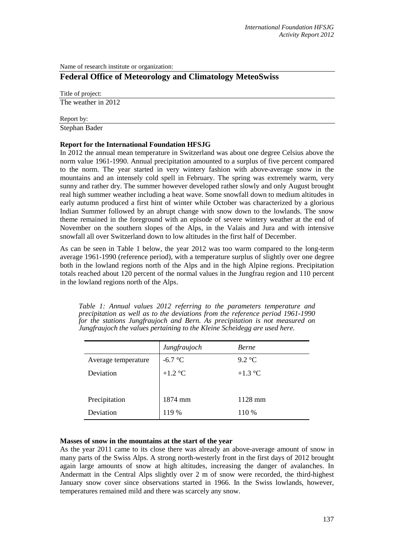Name of research institute or organization:

# **Federal Office of Meteorology and Climatology MeteoSwiss**

Title of project: The weather in 2012

Report by:

Stephan Bader

### **Report for the International Foundation HFSJG**

In 2012 the annual mean temperature in Switzerland was about one degree Celsius above the norm value 1961-1990. Annual precipitation amounted to a surplus of five percent compared to the norm. The year started in very wintery fashion with above-average snow in the mountains and an intensely cold spell in February. The spring was extremely warm, very sunny and rather dry. The summer however developed rather slowly and only August brought real high summer weather including a heat wave. Some snowfall down to medium altitudes in early autumn produced a first hint of winter while October was characterized by a glorious Indian Summer followed by an abrupt change with snow down to the lowlands. The snow theme remained in the foreground with an episode of severe wintery weather at the end of November on the southern slopes of the Alps, in the Valais and Jura and with intensive snowfall all over Switzerland down to low altitudes in the first half of December.

As can be seen in Table 1 below, the year 2012 was too warm compared to the long-term average 1961-1990 (reference period), with a temperature surplus of slightly over one degree both in the lowland regions north of the Alps and in the high Alpine regions. Precipitation totals reached about 120 percent of the normal values in the Jungfrau region and 110 percent in the lowland regions north of the Alps.

*Table 1: Annual values 2012 referring to the parameters temperature and precipitation as well as to the deviations from the reference period 1961-1990 for the stations Jungfraujoch and Bern. As precipitation is not measured on Jungfraujoch the values pertaining to the Kleine Scheidegg are used here.*

|                     | Jungfraujoch | <b>Berne</b> |
|---------------------|--------------|--------------|
| Average temperature | $-6.7$ °C    | 9.2 °C       |
| Deviation           | $+1.2$ °C    | $+1.3$ °C    |
|                     |              |              |
| Precipitation       | 1874 mm      | $1128$ mm    |
| Deviation           | 119 %        | 110 %        |

#### **Masses of snow in the mountains at the start of the year**

As the year 2011 came to its close there was already an above-average amount of snow in many parts of the Swiss Alps. A strong north-westerly front in the first days of 2012 brought again large amounts of snow at high altitudes, increasing the danger of avalanches. In Andermatt in the Central Alps slightly over 2 m of snow were recorded, the third-highest January snow cover since observations started in 1966. In the Swiss lowlands, however, temperatures remained mild and there was scarcely any snow.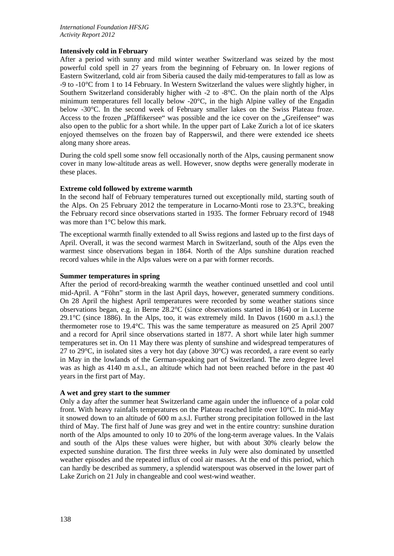### **Intensively cold in February**

After a period with sunny and mild winter weather Switzerland was seized by the most powerful cold spell in 27 years from the beginning of February on. In lower regions of Eastern Switzerland, cold air from Siberia caused the daily mid-temperatures to fall as low as -9 to -10°C from 1 to 14 February. In Western Switzerland the values were slightly higher, in Southern Switzerland considerably higher with -2 to -8°C. On the plain north of the Alps minimum temperatures fell locally below -20°C, in the high Alpine valley of the Engadin below -30°C. In the second week of February smaller lakes on the Swiss Plateau froze. Access to the frozen "Pfäffikersee" was possible and the ice cover on the "Greifensee" was also open to the public for a short while. In the upper part of Lake Zurich a lot of ice skaters enjoyed themselves on the frozen bay of Rapperswil, and there were extended ice sheets along many shore areas.

During the cold spell some snow fell occasionally north of the Alps, causing permanent snow cover in many low-altitude areas as well. However, snow depths were generally moderate in these places.

### **Extreme cold followed by extreme warmth**

In the second half of February temperatures turned out exceptionally mild, starting south of the Alps. On 25 February 2012 the temperature in Locarno-Monti rose to 23.3°C, breaking the February record since observations started in 1935. The former February record of 1948 was more than 1°C below this mark.

The exceptional warmth finally extended to all Swiss regions and lasted up to the first days of April. Overall, it was the second warmest March in Switzerland, south of the Alps even the warmest since observations began in 1864. North of the Alps sunshine duration reached record values while in the Alps values were on a par with former records.

#### **Summer temperatures in spring**

After the period of record-breaking warmth the weather continued unsettled and cool until mid-April. A "Föhn" storm in the last April days, however, generated summery conditions. On 28 April the highest April temperatures were recorded by some weather stations since observations began, e.g. in Berne 28.2°C (since observations started in 1864) or in Lucerne 29.1 $\degree$ C (since 1886). In the Alps, too, it was extremely mild. In Davos (1600 m a.s.l.) the thermometer rose to 19.4°C. This was the same temperature as measured on 25 April 2007 and a record for April since observations started in 1877. A short while later high summer temperatures set in. On 11 May there was plenty of sunshine and widespread temperatures of 27 to 29 $^{\circ}$ C, in isolated sites a very hot day (above 30 $^{\circ}$ C) was recorded, a rare event so early in May in the lowlands of the German-speaking part of Switzerland. The zero degree level was as high as 4140 m a.s.l., an altitude which had not been reached before in the past 40 years in the first part of May.

#### **A wet and grey start to the summer**

Only a day after the summer heat Switzerland came again under the influence of a polar cold front. With heavy rainfalls temperatures on the Plateau reached little over 10°C. In mid-May it snowed down to an altitude of 600 m a.s.l. Further strong precipitation followed in the last third of May. The first half of June was grey and wet in the entire country: sunshine duration north of the Alps amounted to only 10 to 20% of the long-term average values. In the Valais and south of the Alps these values were higher, but with about 30% clearly below the expected sunshine duration. The first three weeks in July were also dominated by unsettled weather episodes and the repeated influx of cool air masses. At the end of this period, which can hardly be described as summery, a splendid waterspout was observed in the lower part of Lake Zurich on 21 July in changeable and cool west-wind weather.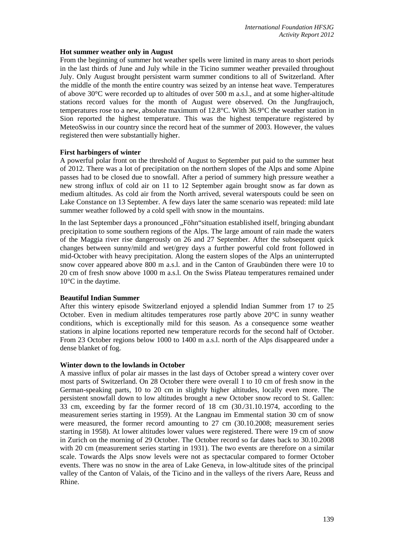#### **Hot summer weather only in August**

From the beginning of summer hot weather spells were limited in many areas to short periods in the last thirds of June and July while in the Ticino summer weather prevailed throughout July. Only August brought persistent warm summer conditions to all of Switzerland. After the middle of the month the entire country was seized by an intense heat wave. Temperatures of above 30°C were recorded up to altitudes of over 500 m a.s.l., and at some higher-altitude stations record values for the month of August were observed. On the Jungfraujoch, temperatures rose to a new, absolute maximum of 12.8°C. With 36.9°C the weather station in Sion reported the highest temperature. This was the highest temperature registered by MeteoSwiss in our country since the record heat of the summer of 2003. However, the values registered then were substantially higher.

### **First harbingers of winter**

A powerful polar front on the threshold of August to September put paid to the summer heat of 2012. There was a lot of precipitation on the northern slopes of the Alps and some Alpine passes had to be closed due to snowfall. After a period of summery high pressure weather a new strong influx of cold air on 11 to 12 September again brought snow as far down as medium altitudes. As cold air from the North arrived, several waterspouts could be seen on Lake Constance on 13 September. A few days later the same scenario was repeated: mild late summer weather followed by a cold spell with snow in the mountains.

In the last September days a pronounced "Föhn" situation established itself, bringing abundant precipitation to some southern regions of the Alps. The large amount of rain made the waters of the Maggia river rise dangerously on 26 and 27 September. After the subsequent quick changes between sunny/mild and wet/grey days a further powerful cold front followed in mid-October with heavy precipitation. Along the eastern slopes of the Alps an uninterrupted snow cover appeared above 800 m a.s.l. and in the Canton of Graubünden there were 10 to 20 cm of fresh snow above 1000 m a.s.l. On the Swiss Plateau temperatures remained under 10°C in the daytime.

### **Beautiful Indian Summer**

After this wintery episode Switzerland enjoyed a splendid Indian Summer from 17 to 25 October. Even in medium altitudes temperatures rose partly above  $20^{\circ}$ C in sunny weather conditions, which is exceptionally mild for this season. As a consequence some weather stations in alpine locations reported new temperature records for the second half of October. From 23 October regions below 1000 to 1400 m a.s.l. north of the Alps disappeared under a dense blanket of fog.

#### **Winter down to the lowlands in October**

A massive influx of polar air masses in the last days of October spread a wintery cover over most parts of Switzerland. On 28 October there were overall 1 to 10 cm of fresh snow in the German-speaking parts, 10 to 20 cm in slightly higher altitudes, locally even more. The persistent snowfall down to low altitudes brought a new October snow record to St. Gallen: 33 cm, exceeding by far the former record of 18 cm (30./31.10.1974, according to the measurement series starting in 1959). At the Langnau im Emmental station 30 cm of snow were measured, the former record amounting to 27 cm (30.10.2008; measurement series starting in 1958). At lower altitudes lower values were registered. There were 19 cm of snow in Zurich on the morning of 29 October. The October record so far dates back to 30.10.2008 with 20 cm (measurement series starting in 1931). The two events are therefore on a similar scale. Towards the Alps snow levels were not as spectacular compared to former October events. There was no snow in the area of Lake Geneva, in low-altitude sites of the principal valley of the Canton of Valais, of the Ticino and in the valleys of the rivers Aare, Reuss and Rhine.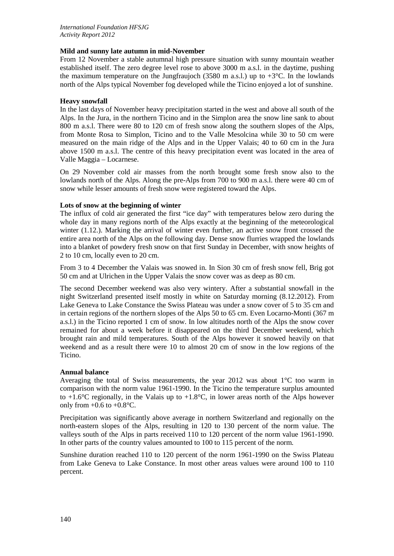## **Mild and sunny late autumn in mid-November**

From 12 November a stable autumnal high pressure situation with sunny mountain weather established itself. The zero degree level rose to above 3000 m a.s.l. in the daytime, pushing the maximum temperature on the Jungfraujoch (3580 m a.s.l.) up to  $+3^{\circ}$ C. In the lowlands north of the Alps typical November fog developed while the Ticino enjoyed a lot of sunshine.

## **Heavy snowfall**

In the last days of November heavy precipitation started in the west and above all south of the Alps. In the Jura, in the northern Ticino and in the Simplon area the snow line sank to about 800 m a.s.l. There were 80 to 120 cm of fresh snow along the southern slopes of the Alps, from Monte Rosa to Simplon, Ticino and to the Valle Mesolcina while 30 to 50 cm were measured on the main ridge of the Alps and in the Upper Valais; 40 to 60 cm in the Jura above 1500 m a.s.l. The centre of this heavy precipitation event was located in the area of Valle Maggia – Locarnese.

On 29 November cold air masses from the north brought some fresh snow also to the lowlands north of the Alps. Along the pre-Alps from 700 to 900 m a.s.l. there were 40 cm of snow while lesser amounts of fresh snow were registered toward the Alps.

### **Lots of snow at the beginning of winter**

The influx of cold air generated the first "ice day" with temperatures below zero during the whole day in many regions north of the Alps exactly at the beginning of the meteorological winter (1.12.). Marking the arrival of winter even further, an active snow front crossed the entire area north of the Alps on the following day. Dense snow flurries wrapped the lowlands into a blanket of powdery fresh snow on that first Sunday in December, with snow heights of 2 to 10 cm, locally even to 20 cm.

From 3 to 4 December the Valais was snowed in. In Sion 30 cm of fresh snow fell, Brig got 50 cm and at Ulrichen in the Upper Valais the snow cover was as deep as 80 cm.

The second December weekend was also very wintery. After a substantial snowfall in the night Switzerland presented itself mostly in white on Saturday morning (8.12.2012). From Lake Geneva to Lake Constance the Swiss Plateau was under a snow cover of 5 to 35 cm and in certain regions of the northern slopes of the Alps 50 to 65 cm. Even Locarno-Monti (367 m a.s.l.) in the Ticino reported 1 cm of snow. In low altitudes north of the Alps the snow cover remained for about a week before it disappeared on the third December weekend, which brought rain and mild temperatures. South of the Alps however it snowed heavily on that weekend and as a result there were 10 to almost 20 cm of snow in the low regions of the Ticino.

### **Annual balance**

Averaging the total of Swiss measurements, the year 2012 was about 1°C too warm in comparison with the norm value 1961-1990. In the Ticino the temperature surplus amounted to  $+1.6^{\circ}$ C regionally, in the Valais up to  $+1.8^{\circ}$ C, in lower areas north of the Alps however only from  $+0.6$  to  $+0.8$ °C.

Precipitation was significantly above average in northern Switzerland and regionally on the north-eastern slopes of the Alps, resulting in 120 to 130 percent of the norm value. The valleys south of the Alps in parts received 110 to 120 percent of the norm value 1961-1990. In other parts of the country values amounted to 100 to 115 percent of the norm.

Sunshine duration reached 110 to 120 percent of the norm 1961-1990 on the Swiss Plateau from Lake Geneva to Lake Constance. In most other areas values were around 100 to 110 percent.